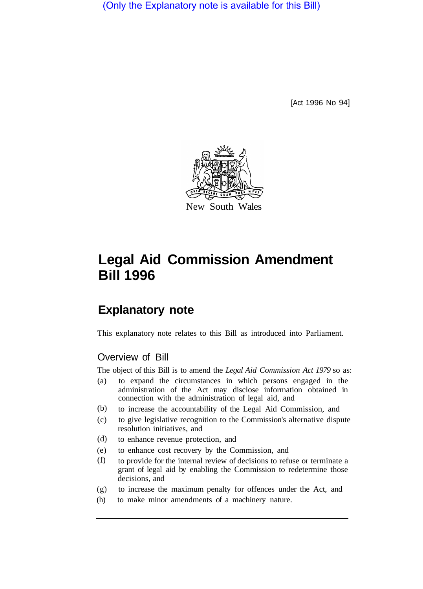(Only the Explanatory note is available for this Bill)

[Act 1996 No 94]



# **Legal Aid Commission Amendment Bill 1996**

# **Explanatory note**

This explanatory note relates to this Bill as introduced into Parliament.

## Overview of Bill

The object of this Bill is to amend the *Legal Aid Commission Act 1979* so as:

- (a) to expand the circumstances in which persons engaged in the administration of the Act may disclose information obtained in connection with the administration of legal aid, and
- to increase the accountability of the Legal Aid Commission, and (b)
- (c) to give legislative recognition to the Commission's alternative dispute resolution initiatives, and
- to enhance revenue protection, and (d)
- (e) to enhance cost recovery by the Commission, and
- to provide for the internal review of decisions to refuse or terminate a grant of legal aid by enabling the Commission to redetermine those decisions, and (f)
- (g) to increase the maximum penalty for offences under the Act, and
- (h) to make minor amendments of a machinery nature.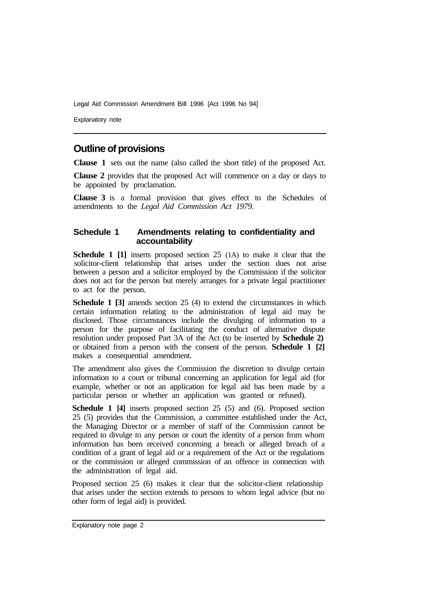Explanatory note

# **Outline of provisions**

**Clause 1** sets out the name (also called the short title) of the proposed Act.

**Clause 2** provides that the proposed Act will commence on a day or days to be appointed by proclamation.

**Clause 3** is a formal provision that gives effect to the Schedules of amendments to the *Legal Aid Commission Act 1979.* 

#### **Schedule 1 Amendments relating to confidentiality and accountability**

**Schedule 1 [1]** inserts proposed section 25 (1A) to make it clear that the solicitor-client relationship that arises under the section does not arise between a person and a solicitor employed by the Commission if the solicitor does not act for the person but merely arranges for a private legal practitioner to act for the person.

**Schedule 1 [3]** amends section 25 (4) to extend the circumstances in which certain information relating to the administration of legal aid may be disclosed. Those circumstances include the divulging of information to a person for the purpose of facilitating the conduct of alternative dispute resolution under proposed Part 3A of the Act (to be inserted by **Schedule 2)**  or obtained from a person with the consent of the person. **Schedule 1 [2]**  makes a consequential amendment.

The amendment also gives the Commission the discretion to divulge certain information to a court or tribunal concerning an application for legal aid (for example, whether or not an application for legal aid has been made by a particular person or whether an application was granted or refused).

**Schedule 1 [4]** inserts proposed section 25 (5) and (6). Proposed section 25 (5) provides that the Commission, a committee established under the Act, the Managing Director or a member of staff of the Commission cannot be required to divulge to any person or court the identity of a person from whom information has been received concerning a breach or alleged breach of a condition of a grant of legal aid or a requirement of the Act or the regulations or the commission or alleged commission of an offence in connection with the administration of legal aid.

Proposed section 25 (6) makes it clear that the solicitor-client relationship that arises under the section extends to persons to whom legal advice (but no other form of legal aid) is provided.

Explanatory note page 2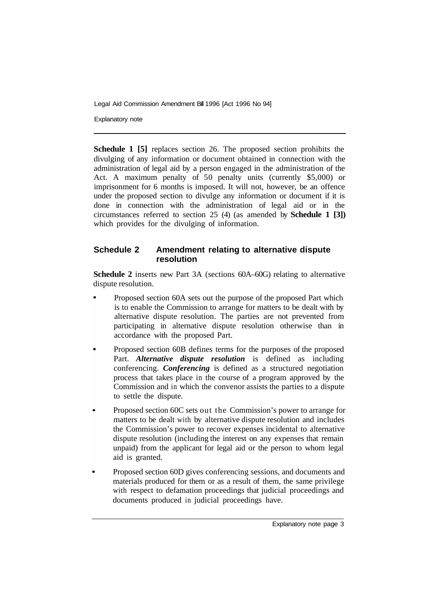Explanatory note

**Schedule 1 [5]** replaces section 26. The proposed section prohibits the divulging of any information or document obtained in connection with the administration of legal aid by a person engaged in the administration of the Act. A maximum penalty of 50 penalty units (currently \$5,000) or imprisonment for 6 months is imposed. It will not, however, be an offence under the proposed section to divulge any information or document if it is done in connection with the administration of legal aid or in the circumstances referred to section 25 (4) (as amended by **Schedule 1 [3])** which provides for the divulging of information.

### **Schedule 2 Amendment relating to alternative dispute resolution**

**Schedule 2** inserts new Part 3A (sections 60A–60G) relating to alternative dispute resolution.

- Proposed section 60A sets out the purpose of the proposed Part which is to enable the Commission to arrange for matters to be dealt with by alternative dispute resolution. The parties are not prevented from participating in alternative dispute resolution otherwise than in accordance with the proposed Part.
- Proposed section 60B defines terms for the purposes of the proposed Part. *Alternative dispute resolution* is defined as including conferencing. *Conferencing* is defined as a structured negotiation process that takes place in the course of a program approved by the Commission and in which the convenor assists the parties to a dispute to settle the dispute.
- Proposed section 60C sets out the Commission's power to arrange for matters to be dealt with by alternative dispute resolution and includes the Commission's power to recover expenses incidental to alternative dispute resolution (including the interest on any expenses that remain unpaid) from the applicant for legal aid or the person to whom legal aid is granted.
- Proposed section 60D gives conferencing sessions, and documents and materials produced for them or as a result of them, the same privilege with respect to defamation proceedings that judicial proceedings and documents produced in judicial proceedings have.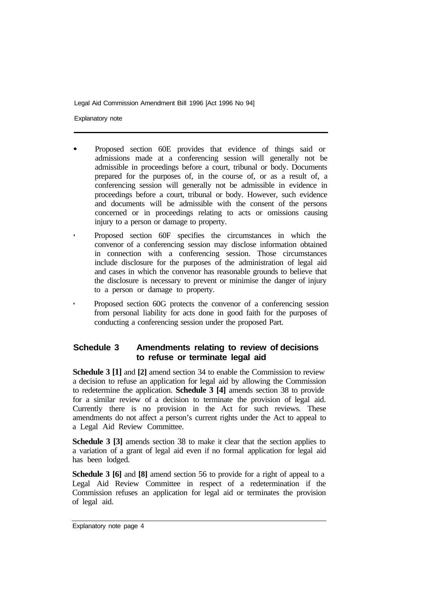Explanatory note

- Proposed section 60E provides that evidence of things said or admissions made at a conferencing session will generally not be admissible in proceedings before a court, tribunal or body. Documents prepared for the purposes of, in the course of, or as a result of, a conferencing session will generally not be admissible in evidence in proceedings before a court, tribunal or body. However, such evidence and documents will be admissible with the consent of the persons concerned or in proceedings relating to acts or omissions causing injury to a person or damage to property.
- Proposed section 60F specifies the circumstances in which the convenor of a conferencing session may disclose information obtained in connection with a conferencing session. Those circumstances include disclosure for the purposes of the administration of legal aid and cases in which the convenor has reasonable grounds to believe that the disclosure is necessary to prevent or minimise the danger of injury to a person or damage to property.
- Proposed section 60G protects the convenor of a conferencing session from personal liability for acts done in good faith for the purposes of conducting a conferencing session under the proposed Part.

### **Schedule 3 Amendments relating to review of decisions to refuse or terminate legal aid**

**Schedule 3 [1]** and **[2]** amend section 34 to enable the Commission to review a decision to refuse an application for legal aid by allowing the Commission to redetermine the application. **Schedule 3 [4]** amends section 38 to provide for a similar review of a decision to terminate the provision of legal aid. Currently there is no provision in the Act for such reviews. These amendments do not affect a person's current rights under the Act to appeal to a Legal Aid Review Committee.

**Schedule 3 [3]** amends section 38 to make it clear that the section applies to a variation of a grant of legal aid even if no formal application for legal aid has been lodged.

**Schedule 3 [6]** and **[8]** amend section 56 to provide for a right of appeal to a Legal Aid Review Committee in respect of a redetermination if the Commission refuses an application for legal aid or terminates the provision of legal aid.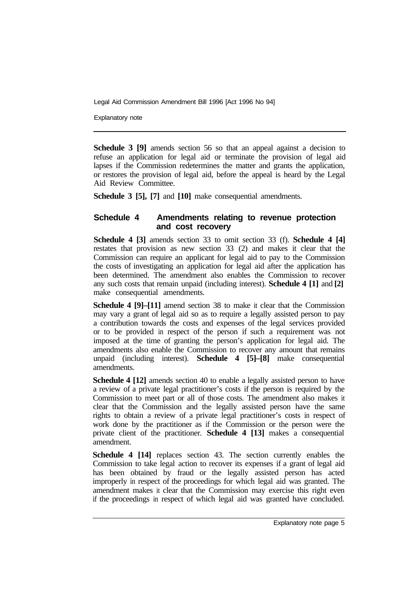Explanatory note

**Schedule 3 [9]** amends section 56 so that an appeal against a decision to refuse an application for legal aid or terminate the provision of legal aid lapses if the Commission redetermines the matter and grants the application, or restores the provision of legal aid, before the appeal is heard by the Legal Aid Review Committee.

**Schedule 3 [5], [7]** and **[10]** make consequential amendments.

#### **Schedule 4 Amendments relating to revenue protection and cost recovery**

**Schedule 4 [3]** amends section 33 to omit section 33 (f). **Schedule 4 [4]**  restates that provision as new section 33 (2) and makes it clear that the Commission can require an applicant for legal aid to pay to the Commission the costs of investigating an application for legal aid after the application has been determined. The amendment also enables the Commission to recover any such costs that remain unpaid (including interest). **Schedule 4 [1]** and **[2]**  make consequential amendments.

**Schedule 4 [9]–[11]** amend section 38 to make it clear that the Commission may vary a grant of legal aid so as to require a legally assisted person to pay a contribution towards the costs and expenses of the legal services provided or to be provided in respect of the person if such a requirement was not imposed at the time of granting the person's application for legal aid. The amendments also enable the Commission to recover any amount that remains unpaid (including interest). **Schedule 4 [5]–[8]** make consequential amendments.

**Schedule 4 [12]** amends section 40 to enable a legally assisted person to have a review of a private legal practitioner's costs if the person is required by the Commission to meet part or all of those costs. The amendment also makes it clear that the Commission and the legally assisted person have the same rights to obtain a review of a private legal practitioner's costs in respect of work done by the practitioner as if the Commission or the person were the private client of the practitioner. **Schedule 4 [13]** makes a consequential amendment.

**Schedule 4 [14]** replaces section 43. The section currently enables the Commission to take legal action to recover its expenses if a grant of legal aid has been obtained by fraud or the legally assisted person has acted improperly in respect of the proceedings for which legal aid was granted. The amendment makes it clear that the Commission may exercise this right even if the proceedings in respect of which legal aid was granted have concluded.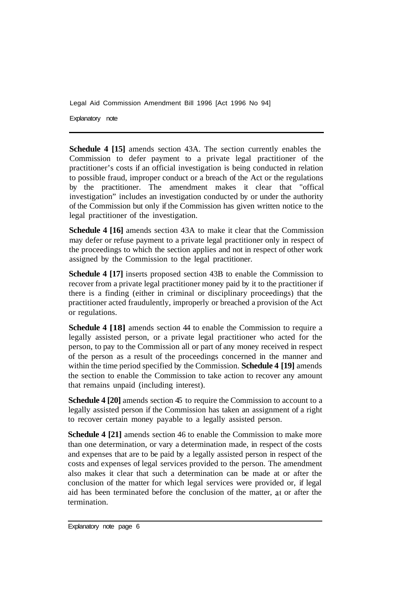Explanatory note

**Schedule 4 [15]** amends section 43A. The section currently enables the Commission to defer payment to a private legal practitioner of the practitioner's costs if an official investigation is being conducted in relation to possible fraud, improper conduct or a breach of the Act or the regulations by the practitioner. The amendment makes it clear that "offical investigation" includes an investigation conducted by or under the authority of the Commission but only if the Commission has given written notice to the legal practitioner of the investigation.

**Schedule 4 [16]** amends section 43A to make it clear that the Commission may defer or refuse payment to a private legal practitioner only in respect of the proceedings to which the section applies and not in respect of other work assigned by the Commission to the legal practitioner.

**Schedule 4 [17]** inserts proposed section 43B to enable the Commission to recover from a private legal practitioner money paid by it to the practitioner if there is a finding (either in criminal or disciplinary proceedings) that the practitioner acted fraudulently, improperly or breached a provision of the Act or regulations.

**Schedule 4 [18]** amends section 44 to enable the Commission to require a legally assisted person, or a private legal practitioner who acted for the person, to pay to the Commission all or part of any money received in respect of the person as a result of the proceedings concerned in the manner and within the time period specified by the Commission. **Schedule 4 [19]** amends the section to enable the Commission to take action to recover any amount that remains unpaid (including interest).

**Schedule 4 [20]** amends section 45 to require the Commission to account to a legally assisted person if the Commission has taken an assignment of a right to recover certain money payable to a legally assisted person.

**Schedule 4 [21]** amends section 46 to enable the Commission to make more than one determination, or vary a determination made, in respect of the costs and expenses that are to be paid by a legally assisted person in respect of the costs and expenses of legal services provided to the person. The amendment also makes it clear that such a determination can be made at or after the conclusion of the matter for which legal services were provided or, if legal aid has been terminated before the conclusion of the matter, at or after the termination.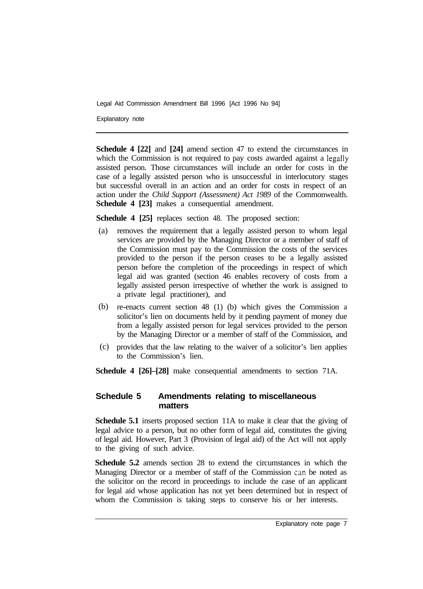Explanatory note

**Schedule 4 [22]** and **[24]** amend section 47 to extend the circumstances in which the Commission is not required to pay costs awarded against a legally assisted person. Those circumstances will include an order for costs in the case of a legally assisted person who is unsuccessful in interlocutory stages but successful overall in an action and an order for costs in respect of an action under the *Child Support (Assessment) Act 1989* of the Commonwealth. **Schedule 4 [23]** makes a consequential amendment.

**Schedule 4 [25]** replaces section 48. The proposed section:

- removes the requirement that a legally assisted person to whom legal services are provided by the Managing Director or a member of staff of the Commission must pay to the Commission the costs of the services provided to the person if the person ceases to be a legally assisted person before the completion of the proceedings in respect of which legal aid was granted (section 46 enables recovery of costs from a legally assisted person irrespective of whether the work is assigned to a private legal practitioner), and (a)
- re-enacts current section 48 (1) (b) which gives the Commission a solicitor's lien on documents held by it pending payment of money due from a legally assisted person for legal services provided to the person by the Managing Director or a member of staff of the Commission, and (b)
- provides that the law relating to the waiver of a solicitor's lien applies to the Commission's lien.  $(c)$

**Schedule 4 [26]–[28]** make consequential amendments to section 71A.

#### **Schedule 5 Amendments relating to miscellaneous matters**

**Schedule 5.1** inserts proposed section 11A to make it clear that the giving of legal advice to a person, but no other form of legal aid, constitutes the giving of legal aid. However, Part 3 (Provision of legal aid) of the Act will not apply to the giving of such advice.

**Schedule 5.2** amends section 28 to extend the circumstances in which the Managing Director or a member of staff of the Commission can be noted as the solicitor on the record in proceedings to include the case of an applicant for legal aid whose application has not yet been determined but in respect of whom the Commission is taking steps to conserve his or her interests.